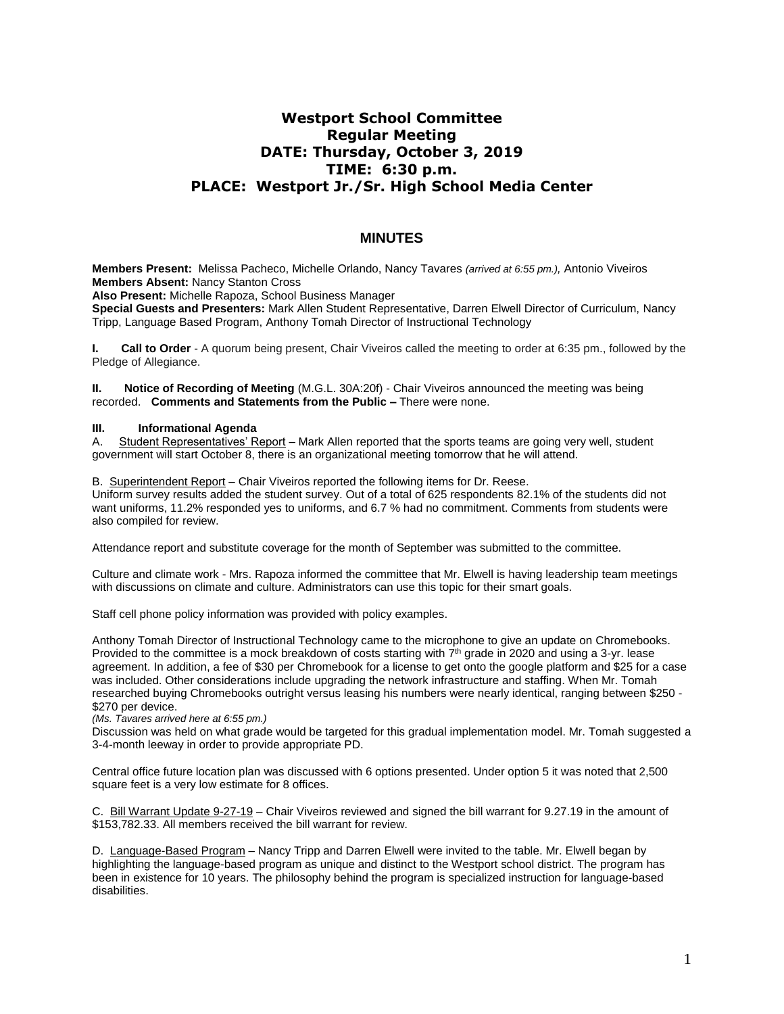## **Westport School Committee Regular Meeting DATE: Thursday, October 3, 2019 TIME: 6:30 p.m. PLACE: Westport Jr./Sr. High School Media Center**

## **MINUTES**

**Members Present:** Melissa Pacheco, Michelle Orlando, Nancy Tavares *(arrived at 6:55 pm.),* Antonio Viveiros **Members Absent:** Nancy Stanton Cross

**Also Present:** Michelle Rapoza, School Business Manager

**Special Guests and Presenters:** Mark Allen Student Representative, Darren Elwell Director of Curriculum, Nancy Tripp, Language Based Program, Anthony Tomah Director of Instructional Technology

**I.** Call to Order - A quorum being present, Chair Viveiros called the meeting to order at 6:35 pm., followed by the Pledge of Allegiance.

**II. Notice of Recording of Meeting** (M.G.L. 30A:20f) - Chair Viveiros announced the meeting was being recorded. **Comments and Statements from the Public –** There were none.

## **III. Informational Agenda**

A. Student Representatives' Report – Mark Allen reported that the sports teams are going very well, student government will start October 8, there is an organizational meeting tomorrow that he will attend.

B. Superintendent Report – Chair Viveiros reported the following items for Dr. Reese. Uniform survey results added the student survey. Out of a total of 625 respondents 82.1% of the students did not want uniforms, 11.2% responded yes to uniforms, and 6.7 % had no commitment. Comments from students were also compiled for review.

Attendance report and substitute coverage for the month of September was submitted to the committee.

Culture and climate work - Mrs. Rapoza informed the committee that Mr. Elwell is having leadership team meetings with discussions on climate and culture. Administrators can use this topic for their smart goals.

Staff cell phone policy information was provided with policy examples.

Anthony Tomah Director of Instructional Technology came to the microphone to give an update on Chromebooks. Provided to the committee is a mock breakdown of costs starting with 7<sup>th</sup> grade in 2020 and using a 3-yr. lease agreement. In addition, a fee of \$30 per Chromebook for a license to get onto the google platform and \$25 for a case was included. Other considerations include upgrading the network infrastructure and staffing. When Mr. Tomah researched buying Chromebooks outright versus leasing his numbers were nearly identical, ranging between \$250 - \$270 per device.

*(Ms. Tavares arrived here at 6:55 pm.)*

Discussion was held on what grade would be targeted for this gradual implementation model. Mr. Tomah suggested a 3-4-month leeway in order to provide appropriate PD.

Central office future location plan was discussed with 6 options presented. Under option 5 it was noted that 2,500 square feet is a very low estimate for 8 offices.

C. Bill Warrant Update 9-27-19 – Chair Viveiros reviewed and signed the bill warrant for 9.27.19 in the amount of \$153,782.33. All members received the bill warrant for review.

D. Language-Based Program - Nancy Tripp and Darren Elwell were invited to the table. Mr. Elwell began by highlighting the language-based program as unique and distinct to the Westport school district. The program has been in existence for 10 years. The philosophy behind the program is specialized instruction for language-based disabilities.